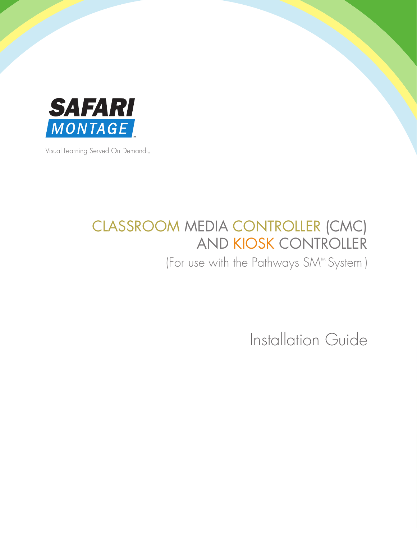

Visual Learning Served On Demand<sub>™</sub>

# CLASSROOM MEDIA CONTROLLER (CMC) AND KIOSK CONTROLLER

(For use with the Pathways SM<sup>™</sup> System)

Installation Guide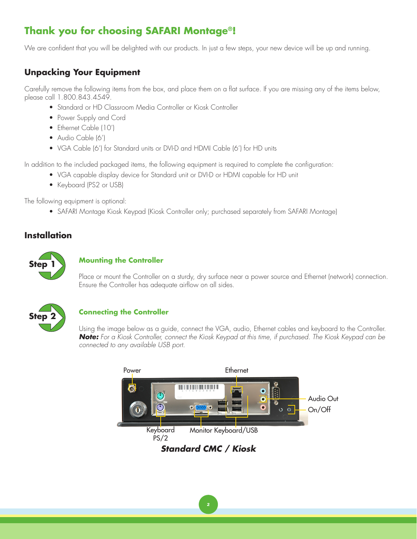# **Thank you for choosing SAFARI Montage®!**

We are confident that you will be delighted with our products. In just a few steps, your new device will be up and running.

# **Unpacking Your Equipment**

Carefully remove the following items from the box, and place them on a flat surface. If you are missing any of the items below, please call 1.800.843.4549.

- Standard or HD Classroom Media Controller or Kiosk Controller
- Power Supply and Cord
- Ethernet Cable (10')
- Audio Cable (6')
- VGA Cable (6') for Standard units or DVI-D and HDMI Cable (6') for HD units

In addition to the included packaged items, the following equipment is required to complete the configuration:

- VGA capable display device for Standard unit or DVI-D or HDMI capable for HD unit
- Keyboard (PS2 or USB)

The following equipment is optional:

• SAFARI Montage Kiosk Keypad (Kiosk Controller only; purchased separately from SAFARI Montage)

## **Installation**



#### **Mounting the Controller**

Place or mount the Controller on a sturdy, dry surface near a power source and Ethernet (network) connection. Ensure the Controller has adequate airflow on all sides.



### **Connecting the Controller**

Using the image below as a guide, connect the VGA, audio, Ethernet cables and keyboard to the Controller. *Note: For a Kiosk Controller, connect the Kiosk Keypad at this time, if purchased. The Kiosk Keypad can be connected to any available USB port.*

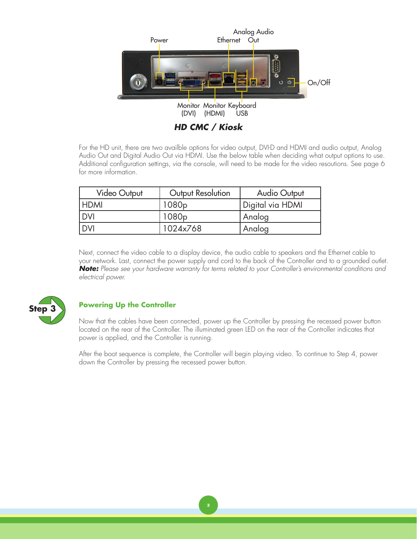

For the HD unit, there are two availble options for video output, DVI-D and HDMI and audio output, Analog Audio Out and Digital Audio Out via HDMI. Use the below table when deciding what output options to use. Additional configuration settings, via the console, will need to be made for the video resoutions. See page 6 for more information.

| <b>Video Output</b> | Output Resolution | <b>Audio Output</b> |
|---------------------|-------------------|---------------------|
| <b>HDMI</b>         | 1080 <sub>p</sub> | Digital via HDMI    |
| <b>DVI</b>          | 1080 <sub>p</sub> | Analog              |
| <b>DVI</b>          | 1024x768          | Analog              |

Next, connect the video cable to a display device, the audio cable to speakers and the Ethernet cable to your network. Last, connect the power supply and cord to the back of the Controller and to a grounded outlet. *Note: Please see your hardware warranty for terms related to your Controller's environmental conditions and electrical power.*



#### **Powering Up the Controller**

Now that the cables have been connected, power up the Controller by pressing the recessed power button located on the rear of the Controller. The illuminated green LED on the rear of the Controller indicates that power is applied, and the Controller is running.

After the boot sequence is complete, the Controller will begin playing video. To continue to Step 4, power down the Controller by pressing the recessed power button.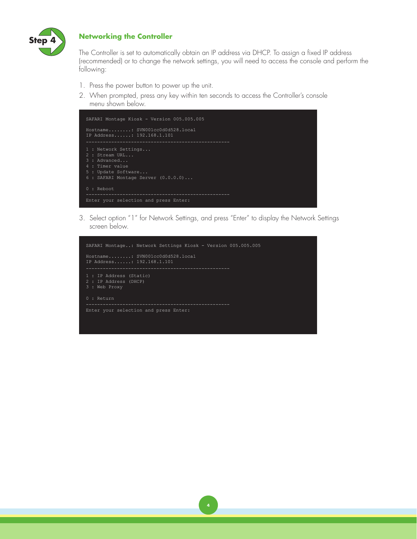

#### **Networking the Controller**

The Controller is set to automatically obtain an IP address via DHCP. To assign a fixed IP address (recommended) or to change the network settings, you will need to access the console and perform the following:

- 1. Press the power button to power up the unit.
- 2. When prompted, press any key within ten seconds to access the Controller's console menu shown below.



3. Select option "1" for Network Settings, and press "Enter" to display the Network Settings screen below.

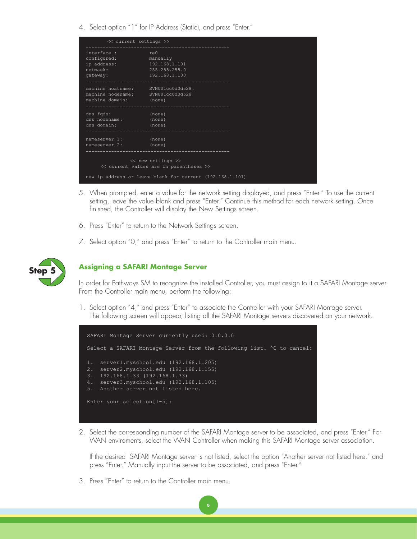4. Select option "1" for IP Address (Static), and press "Enter."

| << current settings >>                                                                            |                                                           |  |
|---------------------------------------------------------------------------------------------------|-----------------------------------------------------------|--|
| interface: re0<br>configured: manually<br>ip address: 192.168.1.101<br>netmask:<br>qateway:       | 255.255.255.0<br>$\overline{\hspace{1.6cm}192.168.1.100}$ |  |
| machine hostname: SVN001cc0d0d528.<br>machine nodename: SVN001cc0d0d528<br>machine domain: (none) |                                                           |  |
| dns fqdn: (none)<br>dns nodename: (none)<br>dns domain: (none)                                    |                                                           |  |
| nameserver 1: (none)<br>nameserver 2: (none)                                                      |                                                           |  |
| << new settings >><br><< current values are in parentheses >>                                     |                                                           |  |
| new ip address or leave blank for current (192.168.1.101)                                         |                                                           |  |

- 5. When prompted, enter a value for the network setting displayed, and press "Enter." To use the current setting, leave the value blank and press "Enter." Continue this method for each network setting. Once finished, the Controller will display the New Settings screen.
- 6. Press "Enter" to return to the Network Settings screen.
- 7. Select option "0," and press "Enter" to return to the Controller main menu.



#### **Step 5 Assigning a SAFARI Montage Server**

In order for Pathways SM to recognize the installed Controller, you must assign to it a SAFARI Montage server. From the Controller main menu, perform the following:

1. Select option "4," and press "Enter" to associate the Controller with your SAFARI Montage server. The following screen will appear, listing all the SAFARI Montage servers discovered on your network.



5

2. Select the corresponding number of the SAFARI Montage server to be associated, and press "Enter." For WAN enviroments, select the WAN Controller when making this SAFARI Montage server association.

If the desired SAFARI Montage server is not listed, select the option "Another server not listed here," and press "Enter." Manually input the server to be associated, and press "Enter."

3. Press "Enter" to return to the Controller main menu.